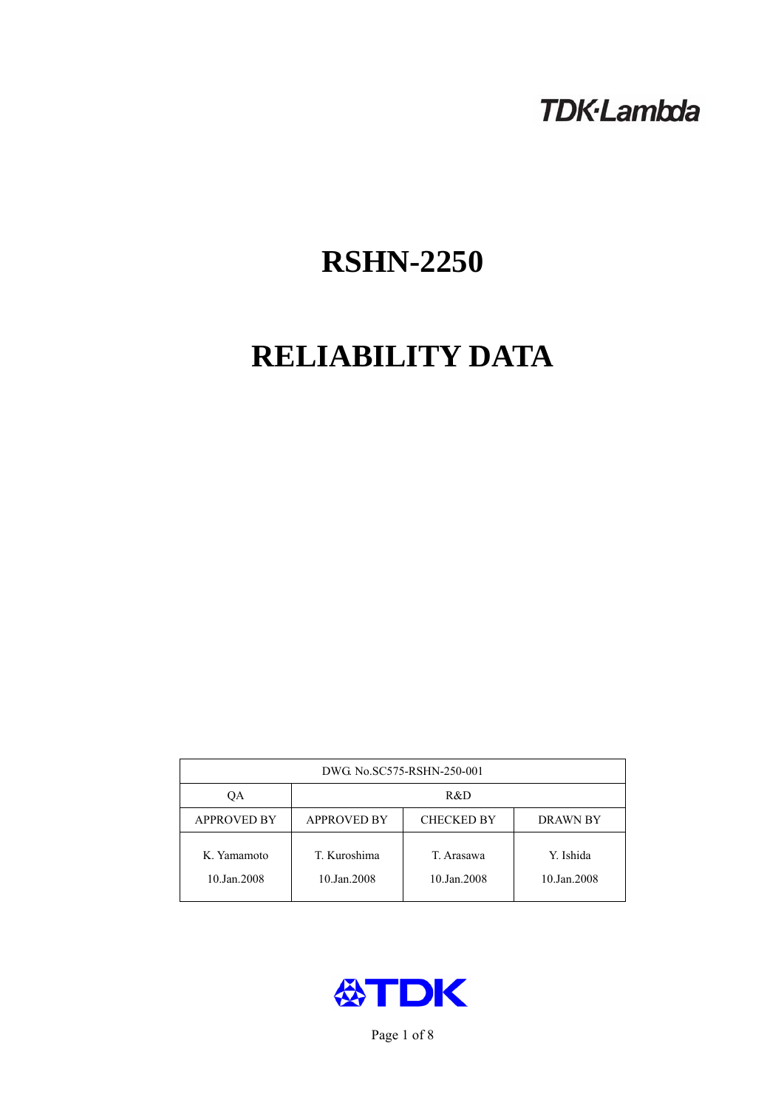# **TDK-Lambda**

# **RSHN-2250**

# **RELIABILITY DATA**

| DWG. No.SC575-RSHN-250-001 |                                                            |                           |                          |  |  |
|----------------------------|------------------------------------------------------------|---------------------------|--------------------------|--|--|
| ОA                         | R&D                                                        |                           |                          |  |  |
| <b>APPROVED BY</b>         | <b>APPROVED BY</b><br><b>CHECKED BY</b><br><b>DRAWN BY</b> |                           |                          |  |  |
| K. Yamamoto<br>10.Jan.2008 | T. Kuroshima<br>10.Jan.2008                                | T. Arasawa<br>10.Jan.2008 | Y. Ishida<br>10.Jan.2008 |  |  |



Page 1 of 8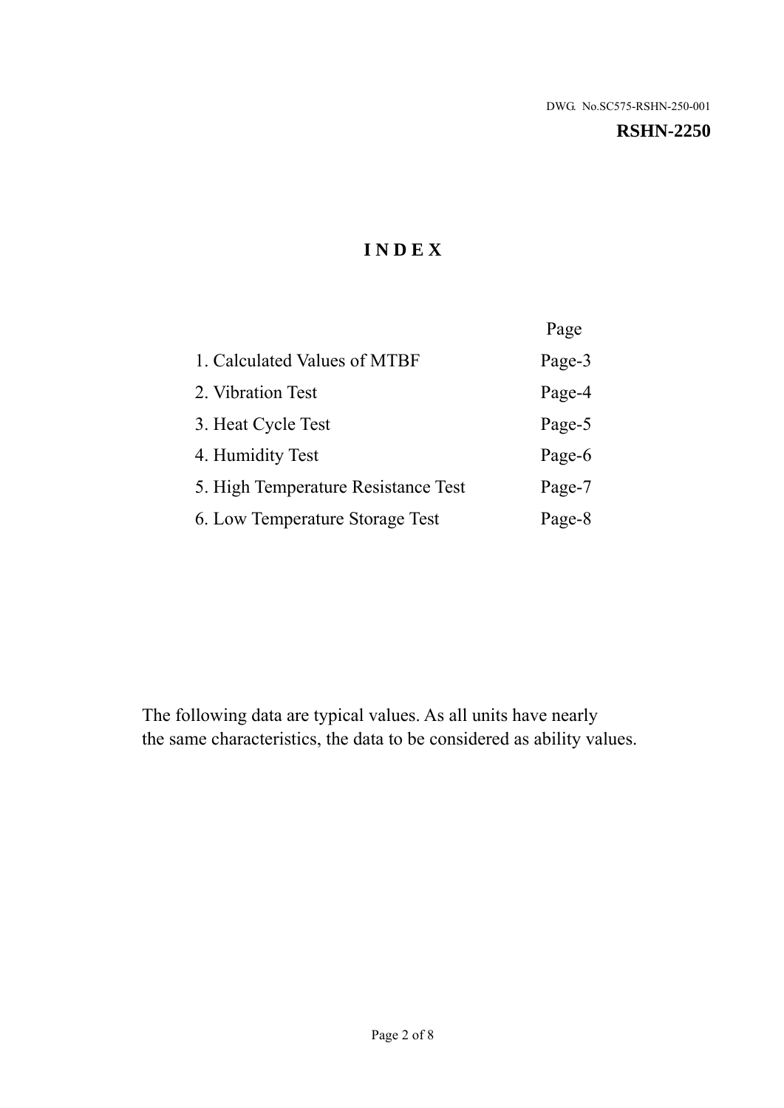# **RSHN-2250**

# **I N D E X**

|                                     | Page   |
|-------------------------------------|--------|
| 1. Calculated Values of MTBF        | Page-3 |
| 2. Vibration Test                   | Page-4 |
| 3. Heat Cycle Test                  | Page-5 |
| 4. Humidity Test                    | Page-6 |
| 5. High Temperature Resistance Test | Page-7 |
| 6. Low Temperature Storage Test     | Page-8 |

The following data are typical values. As all units have nearly the same characteristics, the data to be considered as ability values.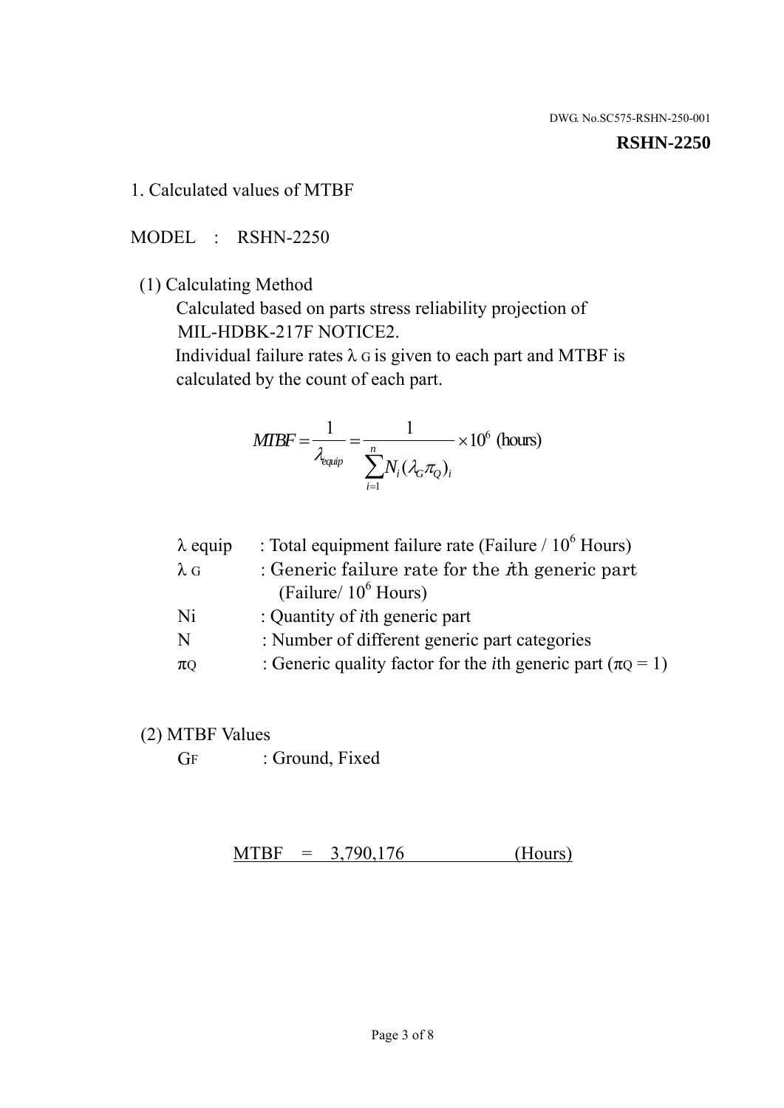#### **RSHN-2250**

1. Calculated values of MTBF

MODEL : RSHN-2250

(1) Calculating Method

 Calculated based on parts stress reliability projection of MIL-HDBK-217F NOTICE2.

Individual failure rates  $\lambda$  G is given to each part and MTBF is calculated by the count of each part.

$$
MTBF = \frac{1}{\lambda_{\text{equip}}} = \frac{1}{\sum_{i=1}^{n} N_i (\lambda_G \pi_Q)_i} \times 10^6 \text{ (hours)}
$$

| : Total equipment failure rate (Failure / $10^6$ Hours)                   |
|---------------------------------------------------------------------------|
| : Generic failure rate for the $\hbar$ generic part                       |
| (Failure/ $10^6$ Hours)                                                   |
| : Quantity of <i>i</i> th generic part                                    |
| : Number of different generic part categories                             |
| : Generic quality factor for the <i>i</i> th generic part ( $\pi Q = 1$ ) |
|                                                                           |

- (2) MTBF Values
	- GF : Ground, Fixed

 $MTBF = 3,790,176$  (Hours)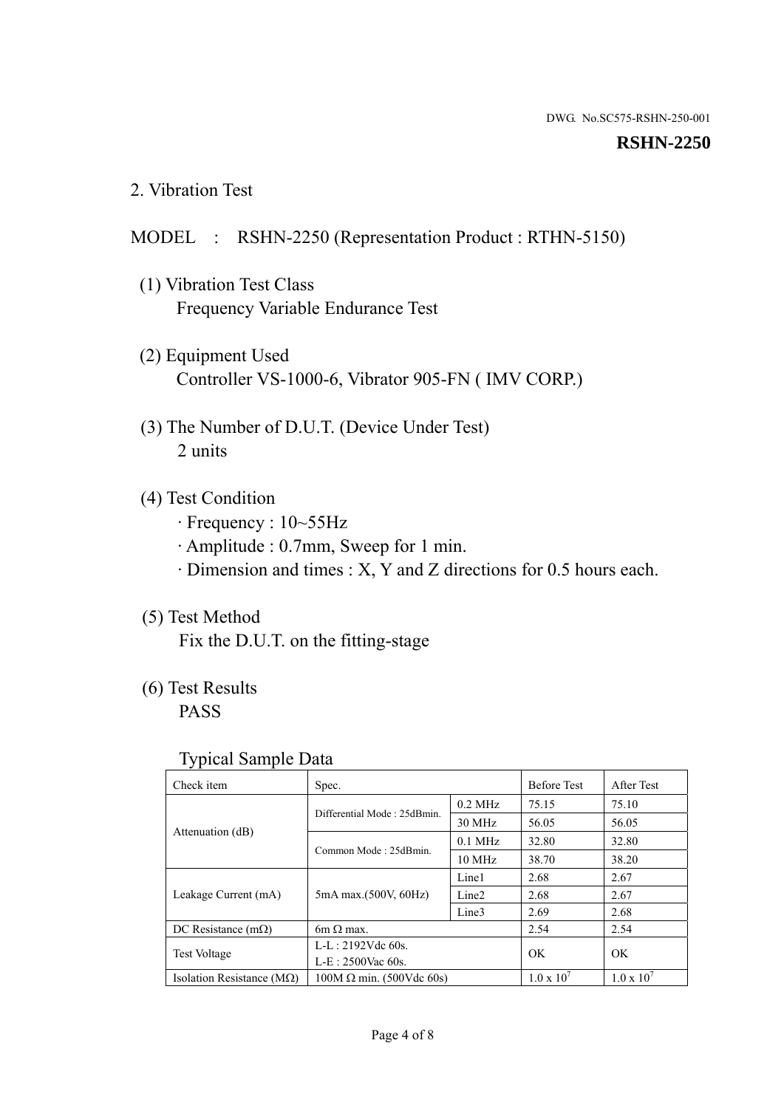#### **RSHN-2250**

2. Vibration Test

# MODEL : RSHN-2250 (Representation Product : RTHN-5150)

- (1) Vibration Test Class Frequency Variable Endurance Test
- (2) Equipment Used Controller VS-1000-6, Vibrator 905-FN ( IMV CORP.)
- (3) The Number of D.U.T. (Device Under Test) 2 units
- (4) Test Condition
	- · Frequency : 10~55Hz
	- · Amplitude : 0.7mm, Sweep for 1 min.
	- · Dimension and times : X, Y and Z directions for 0.5 hours each.

# (5) Test Method

Fix the D.U.T. on the fitting-stage

# (6) Test Results

PASS

#### Typical Sample Data

| Check item                         | Spec.                           |                   | <b>Before Test</b>  | After Test          |
|------------------------------------|---------------------------------|-------------------|---------------------|---------------------|
|                                    | Differential Mode: 25dBmin.     | $0.2$ MHz         | 75.15               | 75.10               |
|                                    |                                 | 30 MHz            | 56.05               | 56.05               |
| Attenuation (dB)                   | Common Mode: 25dBmin.           | $0.1$ MHz         | 32.80               | 32.80               |
|                                    |                                 | 10 MHz            | 38.70               | 38.20               |
| Leakage Current (mA)               | 5mA max.(500V, 60Hz)            | Line1             | 2.68                | 2.67                |
|                                    |                                 | Line <sub>2</sub> | 2.68                | 2.67                |
|                                    |                                 | Line3             | 2.69                | 2.68                |
| DC Resistance $(m\Omega)$          | 6m $\Omega$ max.                |                   | 2.54                | 2.54                |
| <b>Test Voltage</b>                | $L-L: 2192Vdc$ 60s.             |                   | OK                  | OK                  |
|                                    | $L-E$ : 2500Vac 60s.            |                   |                     |                     |
| Isolation Resistance ( $M\Omega$ ) | $100M \Omega$ min. (500Vdc 60s) |                   | $1.0 \times 10^{7}$ | $1.0 \times 10^{7}$ |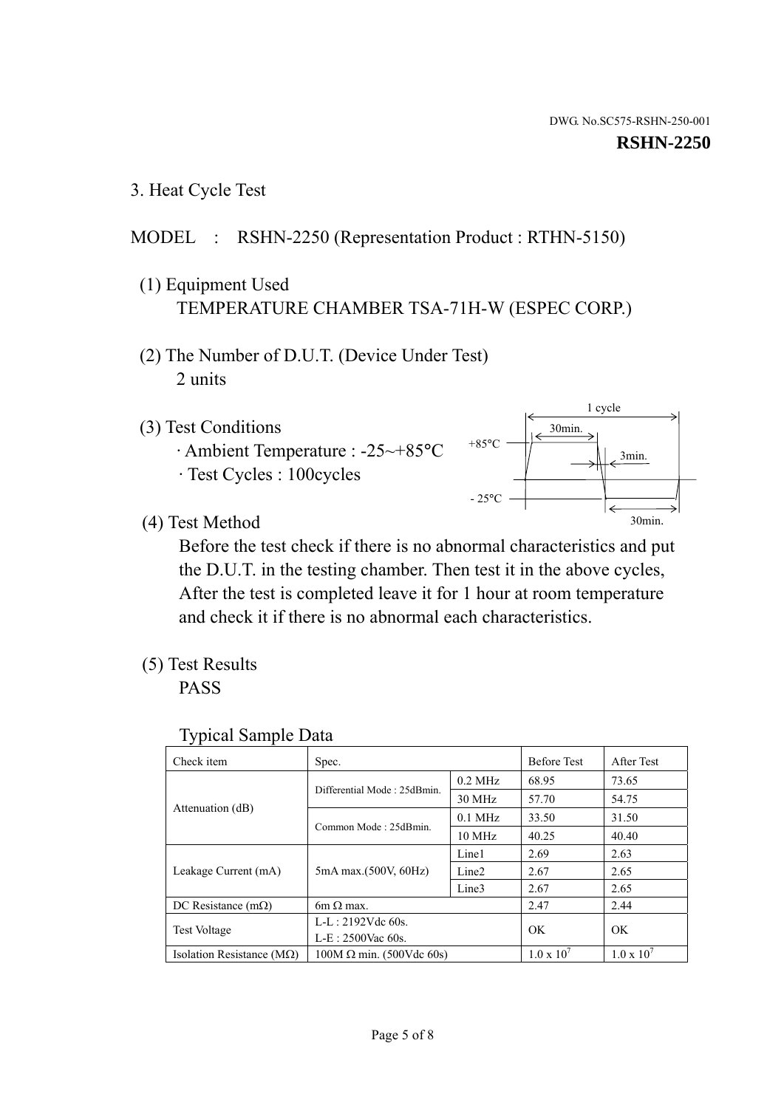1 cycle

30min.

3min.

30min.

3. Heat Cycle Test

# MODEL : RSHN-2250 (Representation Product : RTHN-5150)

- (1) Equipment Used TEMPERATURE CHAMBER TSA-71H-W (ESPEC CORP.)
- (2) The Number of D.U.T. (Device Under Test) 2 units
- (3) Test Conditions
	- · Ambient Temperature : -25~+85°C · Test Cycles : 100cycles
- (4) Test Method

 Before the test check if there is no abnormal characteristics and put the D.U.T. in the testing chamber. Then test it in the above cycles, After the test is completed leave it for 1 hour at room temperature and check it if there is no abnormal each characteristics.

+85°C

 $-25^{\circ}$ C

(5) Test Results

PASS

| <b>Typical Sample Data</b> |  |
|----------------------------|--|
|                            |  |

| Check item                         | Spec.                           |                   | <b>Before Test</b>  | After Test          |
|------------------------------------|---------------------------------|-------------------|---------------------|---------------------|
|                                    | Differential Mode: 25dBmin.     | $0.2$ MHz         | 68.95               | 73.65               |
|                                    |                                 | $30$ MHz          | 57.70               | 54.75               |
| Attenuation (dB)                   | Common Mode: 25dBmin.           | $0.1$ MHz         | 33.50               | 31.50               |
|                                    |                                 | $10$ MHz          | 40.25               | 40.40               |
| Leakage Current (mA)               | 5mA max.(500V, 60Hz)            | Line1             | 2.69                | 2.63                |
|                                    |                                 | Line <sub>2</sub> | 2.67                | 2.65                |
|                                    |                                 | Line3             | 2.67                | 2.65                |
| DC Resistance $(m\Omega)$          | 6m $\Omega$ max.                |                   | 2.47                | 2.44                |
| Test Voltage                       | $L-L: 2192Vdc$ 60s.             |                   | OK                  | OK                  |
|                                    | $L-E$ : 2500Vac 60s.            |                   |                     |                     |
| Isolation Resistance ( $M\Omega$ ) | $100M \Omega$ min. (500Vdc 60s) |                   | $1.0 \times 10^{7}$ | $1.0 \times 10^{7}$ |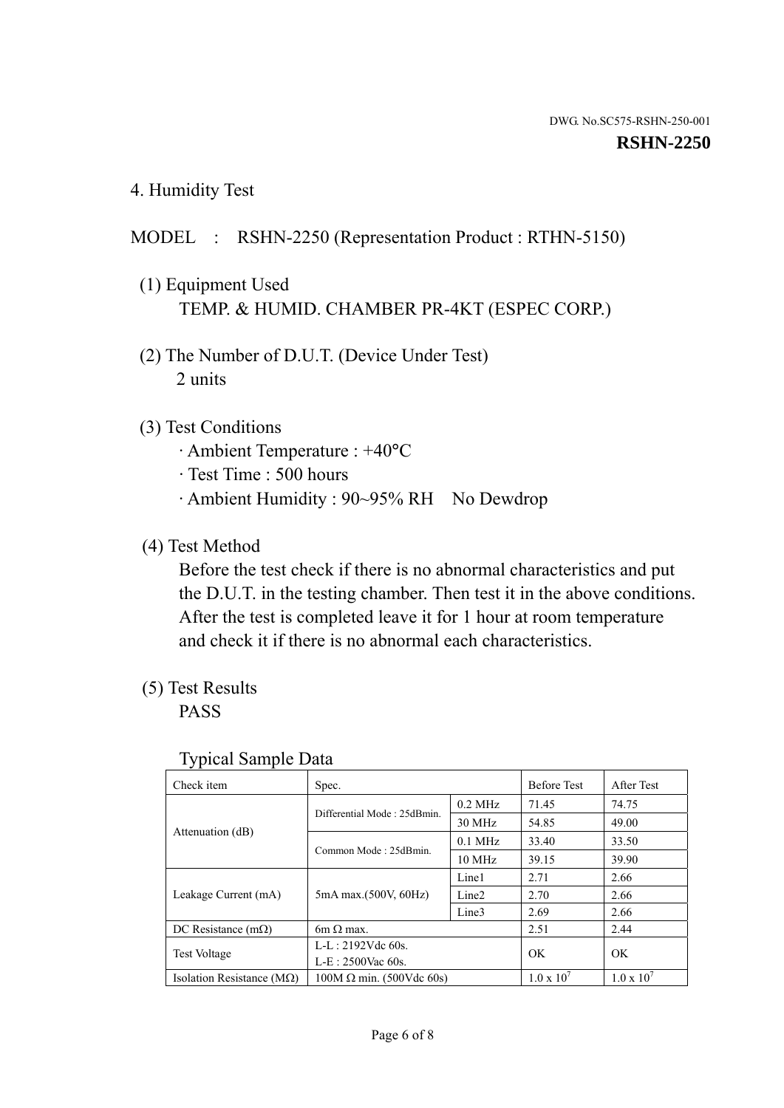4. Humidity Test

# MODEL : RSHN-2250 (Representation Product : RTHN-5150)

- (1) Equipment Used TEMP. & HUMID. CHAMBER PR-4KT (ESPEC CORP.)
- (2) The Number of D.U.T. (Device Under Test) 2 units

### (3) Test Conditions

- · Ambient Temperature : +40°C
- · Test Time : 500 hours
- · Ambient Humidity : 90~95% RH No Dewdrop

# (4) Test Method

 Before the test check if there is no abnormal characteristics and put the D.U.T. in the testing chamber. Then test it in the above conditions. After the test is completed leave it for 1 hour at room temperature and check it if there is no abnormal each characteristics.

# (5) Test Results

PASS

| ັ່<br>Check item                   | Spec.                       |                   | <b>Before Test</b>  | After Test          |
|------------------------------------|-----------------------------|-------------------|---------------------|---------------------|
|                                    | Differential Mode: 25dBmin. | $0.2$ MHz         | 71.45               | 74.75               |
|                                    |                             | 30 MHz            | 54.85               | 49.00               |
| Attenuation (dB)                   | Common Mode: 25dBmin.       | $0.1$ MHz         | 33.40               | 33.50               |
|                                    |                             | $10 \text{ MHz}$  | 39.15               | 39.90               |
| Leakage Current (mA)               | 5mA max.(500V, 60Hz)        | Line1             | 2.71                | 2.66                |
|                                    |                             | Line <sub>2</sub> | 2.70                | 2.66                |
|                                    |                             | Line3             | 2.69                | 2.66                |
| DC Resistance $(m\Omega)$          | $6m \Omega$ max.            |                   | 2.51                | 2.44                |
| Test Voltage                       | $L-L: 2192Vdc$ 60s.         |                   | OK                  | OK.                 |
|                                    | $L-E: 2500$ Vac 60s.        |                   |                     |                     |
| Isolation Resistance ( $M\Omega$ ) | $100M$ Ω min. (500Vdc 60s)  |                   | $1.0 \times 10^{7}$ | $1.0 \times 10^{7}$ |

#### Typical Sample Data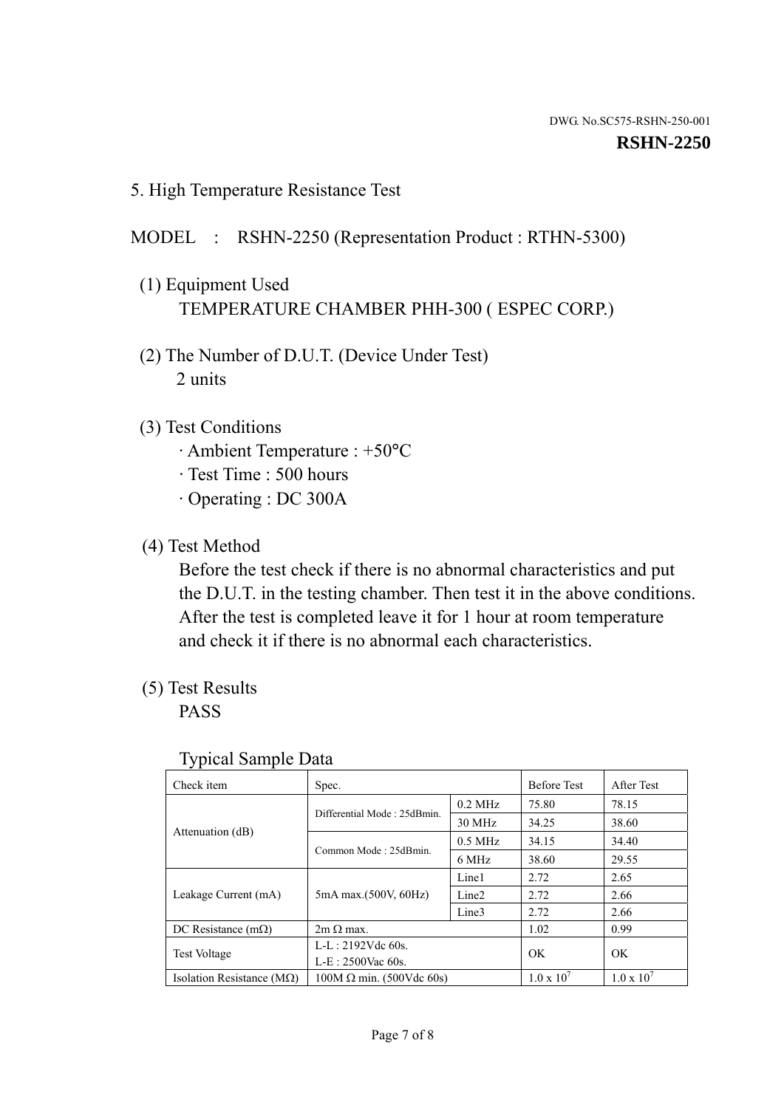5. High Temperature Resistance Test

### MODEL : RSHN-2250 (Representation Product : RTHN-5300)

- (1) Equipment Used TEMPERATURE CHAMBER PHH-300 ( ESPEC CORP.)
- (2) The Number of D.U.T. (Device Under Test) 2 units
- (3) Test Conditions
	- · Ambient Temperature : +50°C
	- · Test Time : 500 hours
	- · Operating : DC 300A
- (4) Test Method

 Before the test check if there is no abnormal characteristics and put the D.U.T. in the testing chamber. Then test it in the above conditions. After the test is completed leave it for 1 hour at room temperature and check it if there is no abnormal each characteristics.

(5) Test Results

PASS

| . .                                |                                 |                   |                     |                     |
|------------------------------------|---------------------------------|-------------------|---------------------|---------------------|
| Check item                         | Spec.                           |                   | <b>Before Test</b>  | After Test          |
|                                    | Differential Mode: 25dBmin.     | $0.2$ MHz         | 75.80               | 78.15               |
|                                    |                                 | 30 MHz            | 34.25               | 38.60               |
| Attenuation (dB)                   | Common Mode: 25dBmin.           | $0.5$ MHz         | 34.15               | 34.40               |
|                                    |                                 | 6 MHz             | 38.60               | 29.55               |
| Leakage Current (mA)               | 5mA max.(500V, 60Hz)            | Line1             | 2.72                | 2.65                |
|                                    |                                 | Line <sub>2</sub> | 2.72                | 2.66                |
|                                    |                                 | Line3             | 2.72                | 2.66                |
| DC Resistance $(m\Omega)$          | $2m \Omega$ max.                |                   | 1.02                | 0.99                |
| <b>Test Voltage</b>                | $L-L: 2192Vdc$ 60s.             |                   | OK.                 | OK.                 |
|                                    | $L-E: 2500$ Vac 60s.            |                   |                     |                     |
| Isolation Resistance ( $M\Omega$ ) | $100M \Omega$ min. (500Vdc 60s) |                   | $1.0 \times 10^{7}$ | $1.0 \times 10^{7}$ |

#### Typical Sample Data